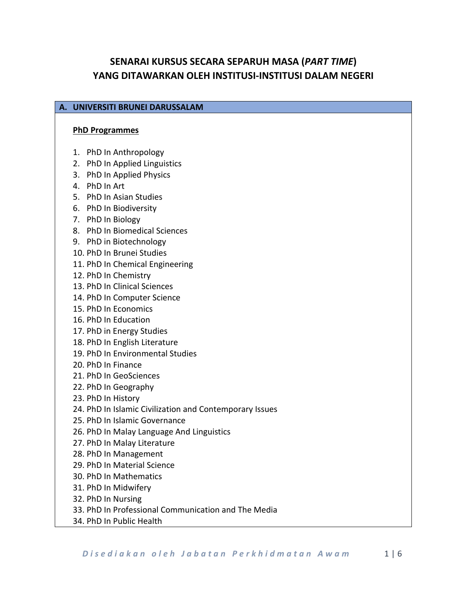# **SENARAI KURSUS SECARA SEPARUH MASA (***PART TIME***) YANG DITAWARKAN OLEH INSTITUSI-INSTITUSI DALAM NEGERI**

### **A. UNIVERSITI BRUNEI DARUSSALAM**

#### **PhD Programmes**

- 1. PhD In Anthropology
- 2. PhD In Applied Linguistics
- 3. PhD In Applied Physics
- 4. PhD In Art
- 5. PhD In Asian Studies
- 6. PhD In Biodiversity
- 7. PhD In Biology
- 8. PhD In Biomedical Sciences
- 9. PhD in Biotechnology
- 10. PhD In Brunei Studies
- 11. PhD In Chemical Engineering
- 12. PhD In Chemistry
- 13. PhD In Clinical Sciences
- 14. PhD In Computer Science
- 15. PhD In Economics
- 16. PhD In Education
- 17. PhD in Energy Studies
- 18. PhD In English Literature
- 19. PhD In Environmental Studies
- 20. PhD In Finance
- 21. PhD In GeoSciences
- 22. PhD In Geography
- 23. PhD In History
- 24. PhD In Islamic Civilization and Contemporary Issues
- 25. PhD In Islamic Governance
- 26. PhD In Malay Language And Linguistics
- 27. PhD In Malay Literature
- 28. PhD In Management
- 29. PhD In Material Science
- 30. PhD In Mathematics
- 31. PhD In Midwifery
- 32. PhD In Nursing
- 33. PhD In Professional Communication and The Media
- 34. PhD In Public Health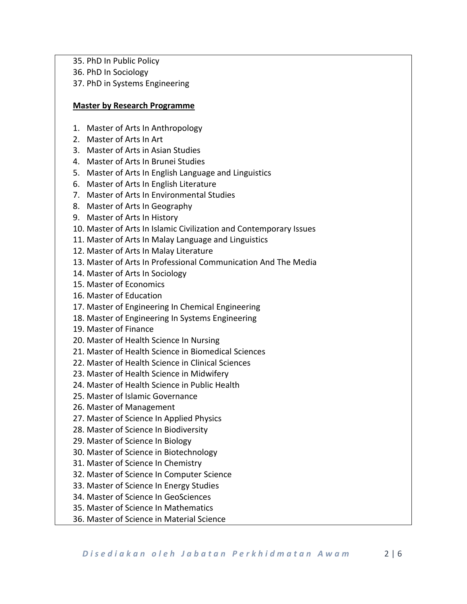- 35. PhD In Public Policy
- 36. PhD In Sociology
- 37. PhD in Systems Engineering

### **Master by Research Programme**

- 1. Master of Arts In Anthropology
- 2. Master of Arts In Art
- 3. Master of Arts in Asian Studies
- 4. Master of Arts In Brunei Studies
- 5. Master of Arts In English Language and Linguistics
- 6. Master of Arts In English Literature
- 7. Master of Arts In Environmental Studies
- 8. Master of Arts In Geography
- 9. Master of Arts In History
- 10. Master of Arts In Islamic Civilization and Contemporary Issues
- 11. Master of Arts In Malay Language and Linguistics
- 12. Master of Arts In Malay Literature
- 13. Master of Arts In Professional Communication And The Media
- 14. Master of Arts In Sociology
- 15. Master of Economics
- 16. Master of Education
- 17. Master of Engineering In Chemical Engineering
- 18. Master of Engineering In Systems Engineering
- 19. Master of Finance
- 20. Master of Health Science In Nursing
- 21. Master of Health Science in Biomedical Sciences
- 22. Master of Health Science in Clinical Sciences
- 23. Master of Health Science in Midwifery
- 24. Master of Health Science in Public Health
- 25. Master of Islamic Governance
- 26. Master of Management
- 27. Master of Science In Applied Physics
- 28. Master of Science In Biodiversity
- 29. Master of Science In Biology
- 30. Master of Science in Biotechnology
- 31. Master of Science In Chemistry
- 32. Master of Science In Computer Science
- 33. Master of Science In Energy Studies
- 34. Master of Science In GeoSciences
- 35. Master of Science In Mathematics
- 36. Master of Science in Material Science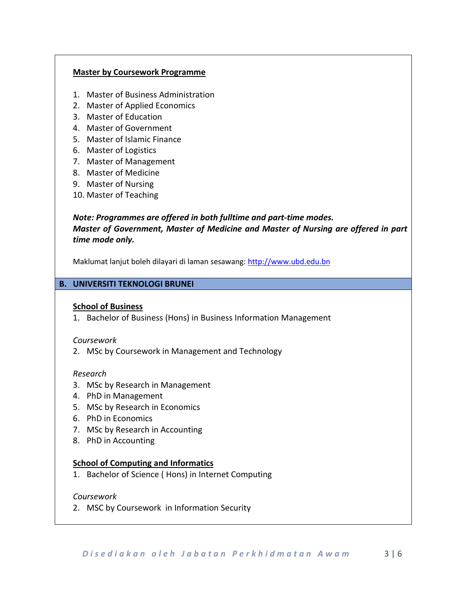### **Master by Coursework Programme**

- 1. Master of Business Administration
- 2. Master of Applied Economics
- 3. Master of Education
- 4. Master of Government
- 5. Master of Islamic Finance
- 6. Master of Logistics
- 7. Master of Management
- 8. Master of Medicine
- 9. Master of Nursing
- 10. Master of Teaching

## *Note: Programmes are offered in both fulltime and part-time modes. Master of Government, Master of Medicine and Master of Nursing are offered in part time mode only.*

Maklumat lanjut boleh dilayari di laman sesawang: [http://www.ubd.edu.bn](http://www.ubd.edu.bn/)

### **B. UNIVERSITI TEKNOLOGI BRUNEI**

### **School of Business**

1. Bachelor of Business (Hons) in Business Information Management

### *Coursework*

2. MSc by Coursework in Management and Technology

### *Research*

- 3. MSc by Research in Management
- 4. PhD in Management
- 5. MSc by Research in Economics
- 6. PhD in Economics
- 7. MSc by Research in Accounting
- 8. PhD in Accounting

### **School of Computing and Informatics**

1. Bachelor of Science ( Hons) in Internet Computing

### *Coursework*

2. MSC by Coursework in Information Security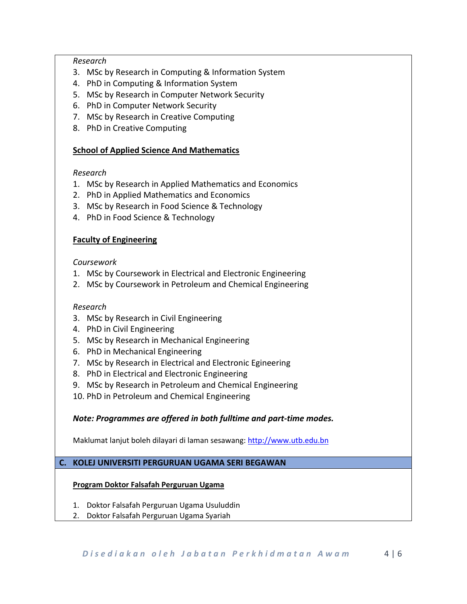### *Research*

- 3. MSc by Research in Computing & Information System
- 4. PhD in Computing & Information System
- 5. MSc by Research in Computer Network Security
- 6. PhD in Computer Network Security
- 7. MSc by Research in Creative Computing
- 8. PhD in Creative Computing

## **School of Applied Science And Mathematics**

## *Research*

- 1. MSc by Research in Applied Mathematics and Economics
- 2. PhD in Applied Mathematics and Economics
- 3. MSc by Research in Food Science & Technology
- 4. PhD in Food Science & Technology

## **Faculty of Engineering**

## *Coursework*

- 1. MSc by Coursework in Electrical and Electronic Engineering
- 2. MSc by Coursework in Petroleum and Chemical Engineering

## *Research*

- 3. MSc by Research in Civil Engineering
- 4. PhD in Civil Engineering
- 5. MSc by Research in Mechanical Engineering
- 6. PhD in Mechanical Engineering
- 7. MSc by Research in Electrical and Electronic Egineering
- 8. PhD in Electrical and Electronic Engineering
- 9. MSc by Research in Petroleum and Chemical Engineering
- 10. PhD in Petroleum and Chemical Engineering

## *Note: Programmes are offered in both fulltime and part-time modes.*

Maklumat lanjut boleh dilayari di laman sesawang: [http://www.utb.edu.bn](http://www.utb.edu.bn/)

## **C. KOLEJ UNIVERSITI PERGURUAN UGAMA SERI BEGAWAN**

## **Program Doktor Falsafah Perguruan Ugama**

- 1. Doktor Falsafah Perguruan Ugama Usuluddin
- 2. Doktor Falsafah Perguruan Ugama Syariah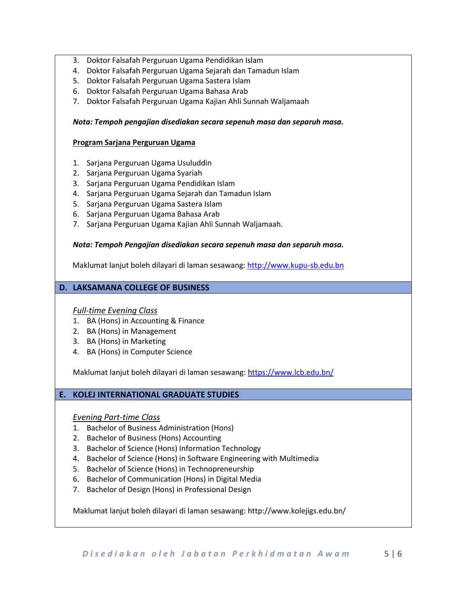- 3. Doktor Falsafah Perguruan Ugama Pendidikan Islam
- 4. Doktor Falsafah Perguruan Ugama Sejarah dan Tamadun Islam
- 5. Doktor Falsafah Perguruan Ugama Sastera Islam
- 6. Doktor Falsafah Perguruan Ugama Bahasa Arab
- 7. Doktor Falsafah Perguruan Ugama Kajian Ahli Sunnah Waljamaah

### *Nota: Tempoh pengajian disediakan secara sepenuh masa dan separuh masa.*

### **Program Sarjana Perguruan Ugama**

- 1. Sarjana Perguruan Ugama Usuluddin
- 2. Sarjana Perguruan Ugama Syariah
- 3. Sarjana Perguruan Ugama Pendidikan Islam
- 4. Sarjana Perguruan Ugama Sejarah dan Tamadun Islam
- 5. Sarjana Perguruan Ugama Sastera Islam
- 6. Sarjana Perguruan Ugama Bahasa Arab
- 7. Sarjana Perguruan Ugama Kajian Ahli Sunnah Waljamaah.

### *Nota: Tempoh Pengajian disediakan secara sepenuh masa dan separuh masa.*

Maklumat lanjut boleh dilayari di laman sesawang: [http://www.kupu-sb.edu.bn](http://www.kupu-sb.edu.bn/)

### **D. LAKSAMANA COLLEGE OF BUSINESS**

### *Full-time Evening Class*

- 1. BA (Hons) in Accounting & Finance
- 2. BA (Hons) in Management
- 3. BA (Hons) in Marketing
- 4. BA (Hons) in Computer Science

Maklumat lanjut boleh dilayari di laman sesawang:<https://www.lcb.edu.bn/>

### **E. KOLEJ INTERNATIONAL GRADUATE STUDIES**

### *Evening Part-time Class*

- 1. Bachelor of Business Administration (Hons)
- 2. Bachelor of Business (Hons) Accounting
- 3. Bachelor of Science (Hons) Information Technology
- 4. Bachelor of Science (Hons) in Software Engineering with Multimedia
- 5. Bachelor of Science (Hons) in Technopreneurship
- 6. Bachelor of Communication (Hons) in Digital Media
- 7. Bachelor of Design (Hons) in Professional Design

Maklumat lanjut boleh dilayari di laman sesawang: http://www.kolejigs.edu.bn/